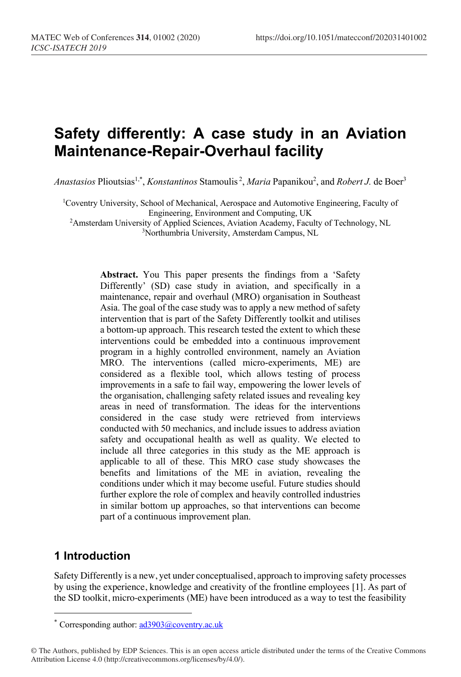# **Safety differently: A case study in an Aviation Maintenance-Repair-Overhaul facility**

Anastasios Plioutsias<sup>1,\*</sup>, *Konstantinos* Stamoulis<sup>2</sup>, *Maria* Papanikou<sup>2</sup>, and *Robert J*. de Boer<sup>3</sup>

1 Coventry University, School of Mechanical, Aerospace and Automotive Engineering, Faculty of Engineering, Environment and Computing, UK

2 Amsterdam University of Applied Sciences, Aviation Academy, Faculty of Technology, NL 3 Northumbria University, Amsterdam Campus, NL

**Abstract.** You This paper presents the findings from a 'Safety Differently' (SD) case study in aviation, and specifically in a maintenance, repair and overhaul (MRO) organisation in Southeast Asia. The goal of the case study was to apply a new method of safety intervention that is part of the Safety Differently toolkit and utilises a bottom-up approach. This research tested the extent to which these interventions could be embedded into a continuous improvement program in a highly controlled environment, namely an Aviation MRO. The interventions (called micro-experiments, ME) are considered as a flexible tool, which allows testing of process improvements in a safe to fail way, empowering the lower levels of the organisation, challenging safety related issues and revealing key areas in need of transformation. The ideas for the interventions considered in the case study were retrieved from interviews conducted with 50 mechanics, and include issues to address aviation safety and occupational health as well as quality. We elected to include all three categories in this study as the ME approach is applicable to all of these. This MRO case study showcases the benefits and limitations of the ME in aviation, revealing the conditions under which it may become useful. Future studies should further explore the role of complex and heavily controlled industries in similar bottom up approaches, so that interventions can become part of a continuous improvement plan.

# **1 Introduction**

Safety Differently is a new, yet under conceptualised, approach to improving safety processes by using the experience, knowledge and creativity of the frontline employees [1]. As part of the SD toolkit, micro-experiments (ME) have been introduced as a way to test the feasibility

<sup>\*</sup> Corresponding author:  $\frac{ad3903}{a}$ coventry.ac.uk

<sup>©</sup> The Authors, published by EDP Sciences. This is an open access article distributed under the terms of the Creative Commons Attribution License 4.0 (http://creativecommons.org/licenses/by/4.0/).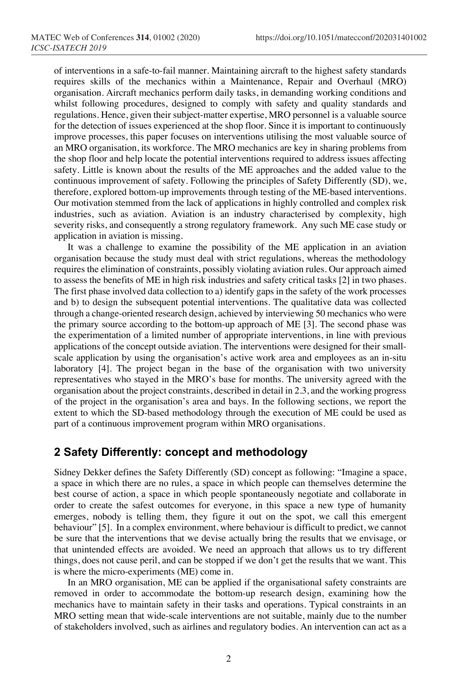of interventions in a safe-to-fail manner. Maintaining aircraft to the highest safety standards requires skills of the mechanics within a Maintenance, Repair and Overhaul (MRO) organisation. Aircraft mechanics perform daily tasks, in demanding working conditions and whilst following procedures, designed to comply with safety and quality standards and regulations. Hence, given their subject-matter expertise, MRO personnel is a valuable source for the detection of issues experienced at the shop floor. Since it is important to continuously improve processes, this paper focuses on interventions utilising the most valuable source of an MRO organisation, its workforce. The MRO mechanics are key in sharing problems from the shop floor and help locate the potential interventions required to address issues affecting safety. Little is known about the results of the ME approaches and the added value to the continuous improvement of safety. Following the principles of Safety Differently (SD), we, therefore, explored bottom-up improvements through testing of the ME-based interventions. Our motivation stemmed from the lack of applications in highly controlled and complex risk industries, such as aviation. Aviation is an industry characterised by complexity, high severity risks, and consequently a strong regulatory framework. Any such ME case study or application in aviation is missing.

It was a challenge to examine the possibility of the ME application in an aviation organisation because the study must deal with strict regulations, whereas the methodology requires the elimination of constraints, possibly violating aviation rules. Our approach aimed to assess the benefits of ME in high risk industries and safety critical tasks [2] in two phases. The first phase involved data collection to a) identify gaps in the safety of the work processes and b) to design the subsequent potential interventions. The qualitative data was collected through a change-oriented research design, achieved by interviewing 50 mechanics who were the primary source according to the bottom-up approach of ME [3]. The second phase was the experimentation of a limited number of appropriate interventions, in line with previous applications of the concept outside aviation. The interventions were designed for their smallscale application by using the organisation's active work area and employees as an in-situ laboratory [4]. The project began in the base of the organisation with two university representatives who stayed in the MRO's base for months. The university agreed with the organisation about the project constraints, described in detail in 2.3, and the working progress of the project in the organisation's area and bays. In the following sections, we report the extent to which the SD-based methodology through the execution of ME could be used as part of a continuous improvement program within MRO organisations.

# **2 Safety Differently: concept and methodology**

Sidney Dekker defines the Safety Differently (SD) concept as following: "Imagine a space, a space in which there are no rules, a space in which people can themselves determine the best course of action, a space in which people spontaneously negotiate and collaborate in order to create the safest outcomes for everyone, in this space a new type of humanity emerges, nobody is telling them, they figure it out on the spot, we call this emergent behaviour" [5]. In a complex environment, where behaviour is difficult to predict, we cannot be sure that the interventions that we devise actually bring the results that we envisage, or that unintended effects are avoided. We need an approach that allows us to try different things, does not cause peril, and can be stopped if we don't get the results that we want. This is where the micro-experiments (ME) come in.

In an MRO organisation, ME can be applied if the organisational safety constraints are removed in order to accommodate the bottom-up research design, examining how the mechanics have to maintain safety in their tasks and operations. Typical constraints in an MRO setting mean that wide-scale interventions are not suitable, mainly due to the number of stakeholders involved, such as airlines and regulatory bodies. An intervention can act as a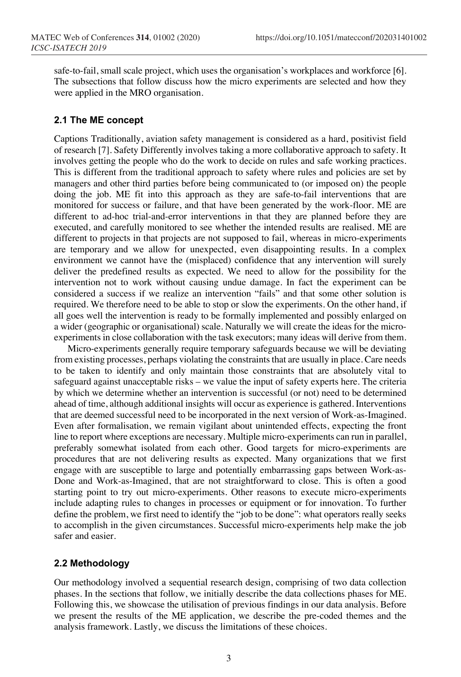safe-to-fail, small scale project, which uses the organisation's workplaces and workforce [6]. The subsections that follow discuss how the micro experiments are selected and how they were applied in the MRO organisation.

#### **2.1 The ME concept**

Captions Traditionally, aviation safety management is considered as a hard, positivist field of research [7]. Safety Differently involves taking a more collaborative approach to safety. It involves getting the people who do the work to decide on rules and safe working practices. This is different from the traditional approach to safety where rules and policies are set by managers and other third parties before being communicated to (or imposed on) the people doing the job. ME fit into this approach as they are safe-to-fail interventions that are monitored for success or failure, and that have been generated by the work-floor. ME are different to ad-hoc trial-and-error interventions in that they are planned before they are executed, and carefully monitored to see whether the intended results are realised. ME are different to projects in that projects are not supposed to fail, whereas in micro-experiments are temporary and we allow for unexpected, even disappointing results. In a complex environment we cannot have the (misplaced) confidence that any intervention will surely deliver the predefined results as expected. We need to allow for the possibility for the intervention not to work without causing undue damage. In fact the experiment can be considered a success if we realize an intervention "fails" and that some other solution is required. We therefore need to be able to stop or slow the experiments. On the other hand, if all goes well the intervention is ready to be formally implemented and possibly enlarged on a wider (geographic or organisational) scale. Naturally we will create the ideas for the microexperiments in close collaboration with the task executors; many ideas will derive from them.

Micro-experiments generally require temporary safeguards because we will be deviating from existing processes, perhaps violating the constraints that are usually in place. Care needs to be taken to identify and only maintain those constraints that are absolutely vital to safeguard against unacceptable risks – we value the input of safety experts here. The criteria by which we determine whether an intervention is successful (or not) need to be determined ahead of time, although additional insights will occur as experience is gathered. Interventions that are deemed successful need to be incorporated in the next version of Work-as-Imagined. Even after formalisation, we remain vigilant about unintended effects, expecting the front line to report where exceptions are necessary. Multiple micro-experiments can run in parallel, preferably somewhat isolated from each other. Good targets for micro-experiments are procedures that are not delivering results as expected. Many organizations that we first engage with are susceptible to large and potentially embarrassing gaps between Work-as-Done and Work-as-Imagined, that are not straightforward to close. This is often a good starting point to try out micro-experiments. Other reasons to execute micro-experiments include adapting rules to changes in processes or equipment or for innovation. To further define the problem, we first need to identify the "job to be done": what operators really seeks to accomplish in the given circumstances. Successful micro-experiments help make the job safer and easier.

### **2.2 Methodology**

Our methodology involved a sequential research design, comprising of two data collection phases. In the sections that follow, we initially describe the data collections phases for ME. Following this, we showcase the utilisation of previous findings in our data analysis. Before we present the results of the ME application, we describe the pre-coded themes and the analysis framework. Lastly, we discuss the limitations of these choices.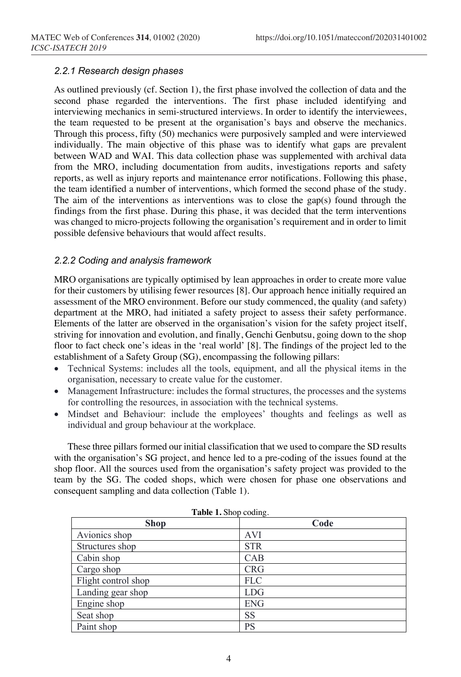#### *2.2.1 Research design phases*

As outlined previously (cf. Section 1), the first phase involved the collection of data and the second phase regarded the interventions. The first phase included identifying and interviewing mechanics in semi-structured interviews. In order to identify the interviewees, the team requested to be present at the organisation's bays and observe the mechanics. Through this process, fifty (50) mechanics were purposively sampled and were interviewed individually. The main objective of this phase was to identify what gaps are prevalent between WAD and WAI. This data collection phase was supplemented with archival data from the MRO, including documentation from audits, investigations reports and safety reports, as well as injury reports and maintenance error notifications. Following this phase, the team identified a number of interventions, which formed the second phase of the study. The aim of the interventions as interventions was to close the gap(s) found through the findings from the first phase. During this phase, it was decided that the term interventions was changed to micro-projects following the organisation's requirement and in order to limit possible defensive behaviours that would affect results.

#### *2.2.2 Coding and analysis framework*

MRO organisations are typically optimised by lean approaches in order to create more value for their customers by utilising fewer resources [8]. Our approach hence initially required an assessment of the MRO environment. Before our study commenced, the quality (and safety) department at the MRO, had initiated a safety project to assess their safety performance. Elements of the latter are observed in the organisation's vision for the safety project itself, striving for innovation and evolution, and finally, Genchi Genbutsu, going down to the shop floor to fact check one's ideas in the 'real world' [8]. The findings of the project led to the establishment of a Safety Group (SG), encompassing the following pillars:

- Technical Systems: includes all the tools, equipment, and all the physical items in the organisation, necessary to create value for the customer.
- Management Infrastructure: includes the formal structures, the processes and the systems for controlling the resources, in association with the technical systems.
- Mindset and Behaviour: include the employees' thoughts and feelings as well as individual and group behaviour at the workplace.

These three pillars formed our initial classification that we used to compare the SD results with the organisation's SG project, and hence led to a pre-coding of the issues found at the shop floor. All the sources used from the organisation's safety project was provided to the team by the SG. The coded shops, which were chosen for phase one observations and consequent sampling and data collection (Table 1).

| <b>Lable 1.</b> Shop county. |            |  |  |  |
|------------------------------|------------|--|--|--|
| <b>Shop</b>                  | Code       |  |  |  |
| Avionics shop                | <b>AVI</b> |  |  |  |
| Structures shop              | <b>STR</b> |  |  |  |
| Cabin shop                   | CAB        |  |  |  |
| Cargo shop                   | <b>CRG</b> |  |  |  |
| Flight control shop          | <b>FLC</b> |  |  |  |
| Landing gear shop            | <b>LDG</b> |  |  |  |
| Engine shop                  | <b>ENG</b> |  |  |  |
| Seat shop                    | <b>SS</b>  |  |  |  |
| Paint shop                   | <b>PS</b>  |  |  |  |

**Table 1.** Shop coding.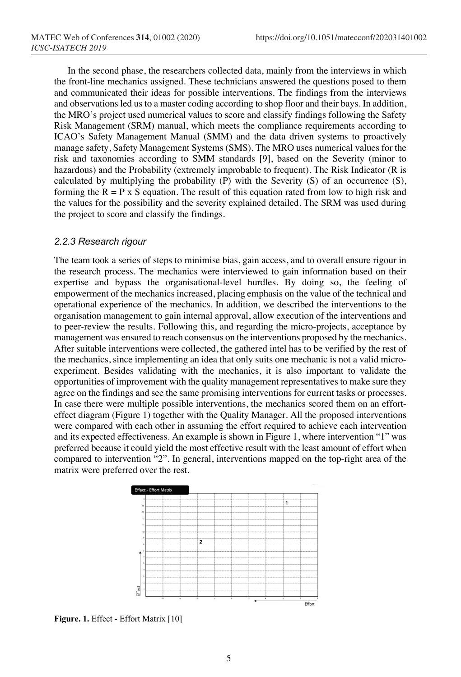In the second phase, the researchers collected data, mainly from the interviews in which the front-line mechanics assigned. These technicians answered the questions posed to them and communicated their ideas for possible interventions. The findings from the interviews and observations led us to a master coding according to shop floor and their bays. In addition, the MRO's project used numerical values to score and classify findings following the Safety Risk Management (SRM) manual, which meets the compliance requirements according to ICAO's Safety Management Manual (SMM) and the data driven systems to proactively manage safety, Safety Management Systems (SMS). The MRO uses numerical values for the risk and taxonomies according to SMM standards [9], based on the Severity (minor to hazardous) and the Probability (extremely improbable to frequent). The Risk Indicator (R is calculated by multiplying the probability (P) with the Severity (S) of an occurrence (S), forming the  $R = P \times S$  equation. The result of this equation rated from low to high risk and the values for the possibility and the severity explained detailed. The SRM was used during the project to score and classify the findings.

#### *2.2.3 Research rigour*

The team took a series of steps to minimise bias, gain access, and to overall ensure rigour in the research process. The mechanics were interviewed to gain information based on their expertise and bypass the organisational-level hurdles. By doing so, the feeling of empowerment of the mechanics increased, placing emphasis on the value of the technical and operational experience of the mechanics. In addition, we described the interventions to the organisation management to gain internal approval, allow execution of the interventions and to peer-review the results. Following this, and regarding the micro-projects, acceptance by management was ensured to reach consensus on the interventions proposed by the mechanics. After suitable interventions were collected, the gathered intel has to be verified by the rest of the mechanics, since implementing an idea that only suits one mechanic is not a valid microexperiment. Besides validating with the mechanics, it is also important to validate the opportunities of improvement with the quality management representatives to make sure they agree on the findings and see the same promising interventions for current tasks or processes. In case there were multiple possible interventions, the mechanics scored them on an efforteffect diagram (Figure 1) together with the Quality Manager. All the proposed interventions were compared with each other in assuming the effort required to achieve each intervention and its expected effectiveness. An example is shown in Figure 1, where intervention "1" was preferred because it could yield the most effective result with the least amount of effort when compared to intervention "2". In general, interventions mapped on the top-right area of the matrix were preferred over the rest.



**Figure. 1.** Effect - Effort Matrix [10]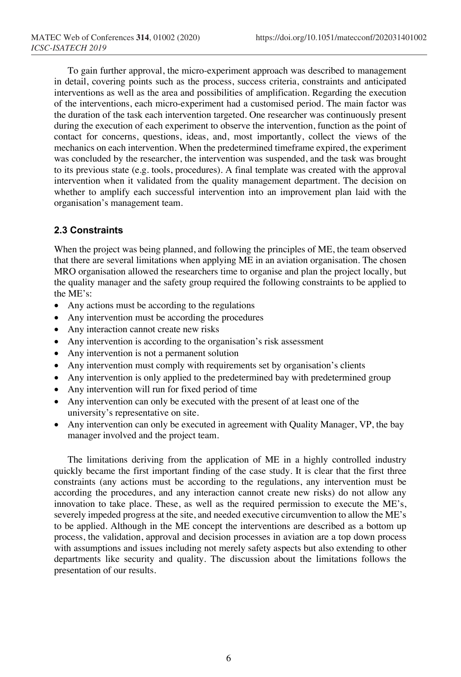To gain further approval, the micro-experiment approach was described to management in detail, covering points such as the process, success criteria, constraints and anticipated interventions as well as the area and possibilities of amplification. Regarding the execution of the interventions, each micro-experiment had a customised period. The main factor was the duration of the task each intervention targeted. One researcher was continuously present during the execution of each experiment to observe the intervention, function as the point of contact for concerns, questions, ideas, and, most importantly, collect the views of the mechanics on each intervention. When the predetermined timeframe expired, the experiment was concluded by the researcher, the intervention was suspended, and the task was brought to its previous state (e.g. tools, procedures). A final template was created with the approval intervention when it validated from the quality management department. The decision on whether to amplify each successful intervention into an improvement plan laid with the organisation's management team.

### **2.3 Constraints**

When the project was being planned, and following the principles of ME, the team observed that there are several limitations when applying ME in an aviation organisation. The chosen MRO organisation allowed the researchers time to organise and plan the project locally, but the quality manager and the safety group required the following constraints to be applied to the ME's:

- Any actions must be according to the regulations
- Any intervention must be according the procedures
- Any interaction cannot create new risks
- Any intervention is according to the organisation's risk assessment
- Any intervention is not a permanent solution
- Any intervention must comply with requirements set by organisation's clients
- Any intervention is only applied to the predetermined bay with predetermined group
- Any intervention will run for fixed period of time
- Any intervention can only be executed with the present of at least one of the university's representative on site.
- Any intervention can only be executed in agreement with Quality Manager, VP, the bay manager involved and the project team.

The limitations deriving from the application of ME in a highly controlled industry quickly became the first important finding of the case study. It is clear that the first three constraints (any actions must be according to the regulations, any intervention must be according the procedures, and any interaction cannot create new risks) do not allow any innovation to take place. These, as well as the required permission to execute the ME's, severely impeded progress at the site, and needed executive circumvention to allow the ME's to be applied. Although in the ME concept the interventions are described as a bottom up process, the validation, approval and decision processes in aviation are a top down process with assumptions and issues including not merely safety aspects but also extending to other departments like security and quality. The discussion about the limitations follows the presentation of our results.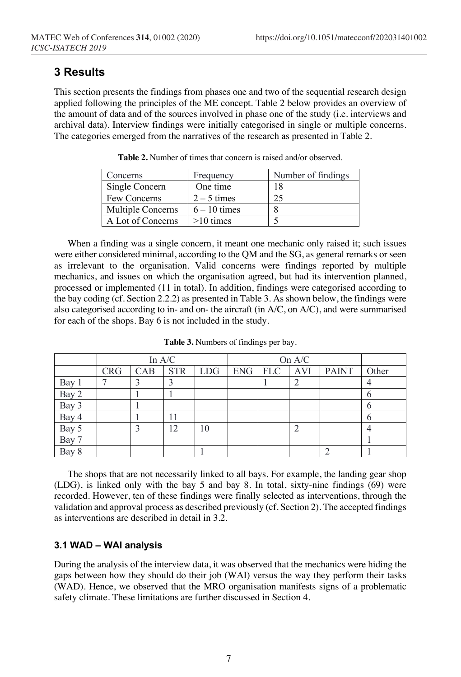# **3 Results**

This section presents the findings from phases one and two of the sequential research design applied following the principles of the ME concept. Table 2 below provides an overview of the amount of data and of the sources involved in phase one of the study (i.e. interviews and archival data). Interview findings were initially categorised in single or multiple concerns. The categories emerged from the narratives of the research as presented in Table 2.

| Concerns          | Frequency      | Number of findings |
|-------------------|----------------|--------------------|
| Single Concern    | One time       | 18                 |
| Few Concerns      | $2 - 5$ times  | 25                 |
| Multiple Concerns | $6 - 10$ times |                    |
| A Lot of Concerns | $>10$ times    |                    |

**Table 2.** Number of times that concern is raised and/or observed.

When a finding was a single concern, it meant one mechanic only raised it; such issues were either considered minimal, according to the QM and the SG, as general remarks or seen as irrelevant to the organisation. Valid concerns were findings reported by multiple mechanics, and issues on which the organisation agreed, but had its intervention planned, processed or implemented (11 in total). In addition, findings were categorised according to the bay coding (cf. Section 2.2.2) as presented in Table 3. As shown below, the findings were also categorised according to in- and on- the aircraft (in A/C, on A/C), and were summarised for each of the shops. Bay 6 is not included in the study.

|                | In $A/C$   |     |            | On A/C     |  |                 |  |              |              |
|----------------|------------|-----|------------|------------|--|-----------------|--|--------------|--------------|
|                | <b>CRG</b> | CAB | <b>STR</b> | <b>LDG</b> |  | ENG   FLC   AVI |  | <b>PAINT</b> | Other        |
| Bay 1          |            |     |            |            |  |                 |  |              |              |
| Bay 2          |            |     |            |            |  |                 |  |              | $\mathbf b$  |
| Bay 3          |            |     |            |            |  |                 |  |              | <sub>(</sub> |
| Bay 4          |            |     | 11         |            |  |                 |  |              | <sub>(</sub> |
|                |            |     | 12         | 10         |  |                 |  |              | 4            |
| Bay 5<br>Bay 7 |            |     |            |            |  |                 |  |              |              |
| Bay 8          |            |     |            |            |  |                 |  |              |              |

**Table 3.** Numbers of findings per bay.

The shops that are not necessarily linked to all bays. For example, the landing gear shop (LDG), is linked only with the bay 5 and bay 8. In total, sixty-nine findings (69) were recorded. However, ten of these findings were finally selected as interventions, through the validation and approval process as described previously (cf. Section 2). The accepted findings as interventions are described in detail in 3.2.

### **3.1 WAD – WAI analysis**

During the analysis of the interview data, it was observed that the mechanics were hiding the gaps between how they should do their job (WAI) versus the way they perform their tasks (WAD). Hence, we observed that the MRO organisation manifests signs of a problematic safety climate. These limitations are further discussed in Section 4.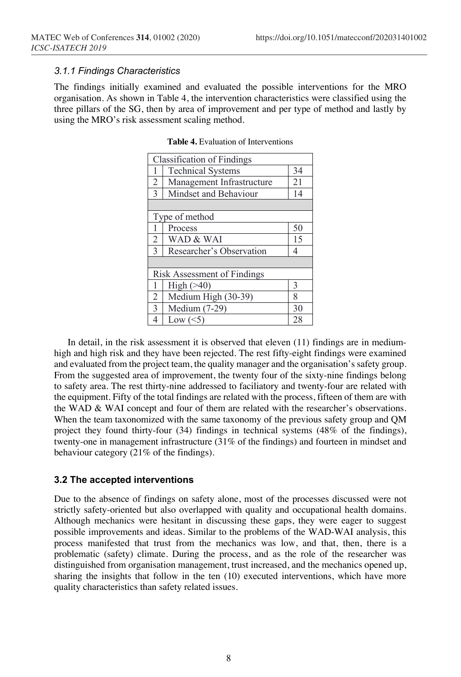#### *3.1.1 Findings Characteristics*

The findings initially examined and evaluated the possible interventions for the MRO organisation. As shown in Table 4, the intervention characteristics were classified using the three pillars of the SG, then by area of improvement and per type of method and lastly by using the MRO's risk assessment scaling method.

|                | <b>Classification of Findings</b> |    |
|----------------|-----------------------------------|----|
|                | <b>Technical Systems</b>          | 34 |
| 2              | Management Infrastructure         | 21 |
| 3              | Mindset and Behaviour             | 14 |
|                |                                   |    |
|                | Type of method                    |    |
| 1              | Process                           | 50 |
| $\overline{2}$ | WAD & WAI                         | 15 |
| 3              | Researcher's Observation          | 4  |
|                |                                   |    |
|                | Risk Assessment of Findings       |    |
|                | High $($ >40)                     | 3  |
| $\overline{2}$ | Medium High (30-39)               | 8  |
| 3              | Medium (7-29)                     | 30 |
| 4              | Low $(<5)$                        | 28 |

**Table 4.** Evaluation of Interventions

In detail, in the risk assessment it is observed that eleven (11) findings are in mediumhigh and high risk and they have been rejected. The rest fifty-eight findings were examined and evaluated from the project team, the quality manager and the organisation's safety group. From the suggested area of improvement, the twenty four of the sixty-nine findings belong to safety area. The rest thirty-nine addressed to faciliatory and twenty-four are related with the equipment. Fifty of the total findings are related with the process, fifteen of them are with the WAD & WAI concept and four of them are related with the researcher's observations. When the team taxonomized with the same taxonomy of the previous safety group and QM project they found thirty-four (34) findings in technical systems (48% of the findings), twenty-one in management infrastructure (31% of the findings) and fourteen in mindset and behaviour category (21% of the findings).

#### **3.2 The accepted interventions**

Due to the absence of findings on safety alone, most of the processes discussed were not strictly safety-oriented but also overlapped with quality and occupational health domains. Although mechanics were hesitant in discussing these gaps, they were eager to suggest possible improvements and ideas. Similar to the problems of the WAD-WAI analysis, this process manifested that trust from the mechanics was low, and that, then, there is a problematic (safety) climate. During the process, and as the role of the researcher was distinguished from organisation management, trust increased, and the mechanics opened up, sharing the insights that follow in the ten (10) executed interventions, which have more quality characteristics than safety related issues.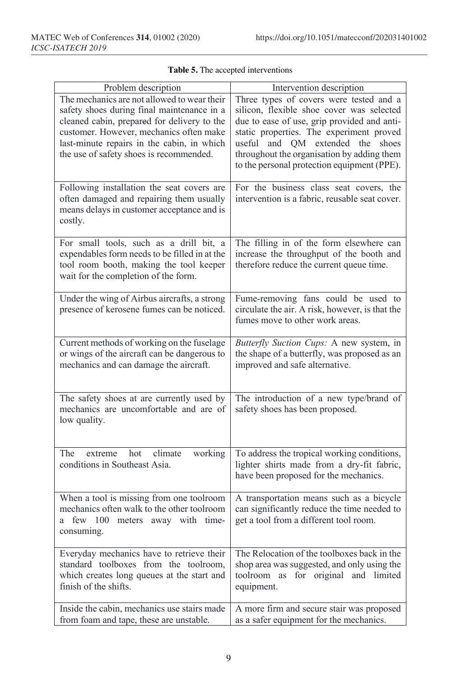| Problem description                                                                                                                                                                                                                                                          | Intervention description                                                                                                                                                                                                                                                                                         |
|------------------------------------------------------------------------------------------------------------------------------------------------------------------------------------------------------------------------------------------------------------------------------|------------------------------------------------------------------------------------------------------------------------------------------------------------------------------------------------------------------------------------------------------------------------------------------------------------------|
| The mechanics are not allowed to wear their<br>safety shoes during final maintenance in a<br>cleaned cabin, prepared for delivery to the<br>customer. However, mechanics often make<br>last-minute repairs in the cabin, in which<br>the use of safety shoes is recommended. | Three types of covers were tested and a<br>silicon, flexible shoe cover was selected<br>due to ease of use, grip provided and anti-<br>static properties. The experiment proved<br>useful and QM extended the shoes<br>throughout the organisation by adding them<br>to the personal protection equipment (PPE). |
| Following installation the seat covers are<br>often damaged and repairing them usually<br>means delays in customer acceptance and is<br>costly.                                                                                                                              | For the business class seat covers, the<br>intervention is a fabric, reusable seat cover.                                                                                                                                                                                                                        |
| For small tools, such as a drill bit, a<br>expendables form needs to be filled in at the<br>tool room booth, making the tool keeper<br>wait for the completion of the form.                                                                                                  | The filling in of the form elsewhere can<br>increase the throughput of the booth and<br>therefore reduce the current queue time.                                                                                                                                                                                 |
| Under the wing of Airbus aircrafts, a strong<br>presence of kerosene fumes can be noticed.                                                                                                                                                                                   | Fume-removing fans could be used to<br>circulate the air. A risk, however, is that the<br>fumes move to other work areas.                                                                                                                                                                                        |
| Current methods of working on the fuselage<br>or wings of the aircraft can be dangerous to<br>mechanics and can damage the aircraft.                                                                                                                                         | Butterfly Suction Cups: A new system, in<br>the shape of a butterfly, was proposed as an<br>improved and safe alternative.                                                                                                                                                                                       |
| The safety shoes at are currently used by<br>mechanics are uncomfortable and are of<br>low quality.                                                                                                                                                                          | The introduction of a new type/brand of<br>safety shoes has been proposed.                                                                                                                                                                                                                                       |
| The<br>working<br>hot<br>climate<br>extreme<br>conditions in Southeast Asia.                                                                                                                                                                                                 | To address the tropical working conditions,<br>lighter shirts made from a dry-fit fabric,<br>have been proposed for the mechanics.                                                                                                                                                                               |
| When a tool is missing from one toolroom<br>mechanics often walk to the other toolroom<br>a few 100 meters away with time-<br>consuming.                                                                                                                                     | A transportation means such as a bicycle<br>can significantly reduce the time needed to<br>get a tool from a different tool room.                                                                                                                                                                                |
| Everyday mechanics have to retrieve their<br>standard toolboxes from the toolroom,<br>which creates long queues at the start and<br>finish of the shifts.                                                                                                                    | The Relocation of the toolboxes back in the<br>shop area was suggested, and only using the<br>toolroom as for original and limited<br>equipment.                                                                                                                                                                 |
| Inside the cabin, mechanics use stairs made<br>from foam and tape, these are unstable.                                                                                                                                                                                       | A more firm and secure stair was proposed<br>as a safer equipment for the mechanics.                                                                                                                                                                                                                             |

# **Table 5.** The accepted interventions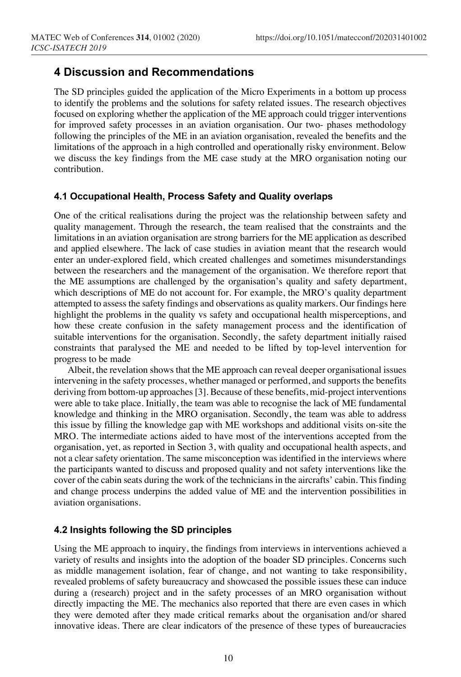# **4 Discussion and Recommendations**

The SD principles guided the application of the Micro Experiments in a bottom up process to identify the problems and the solutions for safety related issues. The research objectives focused on exploring whether the application of the ME approach could trigger interventions for improved safety processes in an aviation organisation. Our two- phases methodology following the principles of the ME in an aviation organisation, revealed the benefits and the limitations of the approach in a high controlled and operationally risky environment. Below we discuss the key findings from the ME case study at the MRO organisation noting our contribution.

#### **4.1 Occupational Health, Process Safety and Quality overlaps**

One of the critical realisations during the project was the relationship between safety and quality management. Through the research, the team realised that the constraints and the limitations in an aviation organisation are strong barriers for the ME application as described and applied elsewhere. The lack of case studies in aviation meant that the research would enter an under-explored field, which created challenges and sometimes misunderstandings between the researchers and the management of the organisation. We therefore report that the ME assumptions are challenged by the organisation's quality and safety department, which descriptions of ME do not account for. For example, the MRO's quality department attempted to assess the safety findings and observations as quality markers. Our findings here highlight the problems in the quality vs safety and occupational health misperceptions, and how these create confusion in the safety management process and the identification of suitable interventions for the organisation. Secondly, the safety department initially raised constraints that paralysed the ME and needed to be lifted by top-level intervention for progress to be made

Albeit, the revelation shows that the ME approach can reveal deeper organisational issues intervening in the safety processes, whether managed or performed, and supports the benefits deriving from bottom-up approaches [3]. Because of these benefits, mid-project interventions were able to take place. Initially, the team was able to recognise the lack of ME fundamental knowledge and thinking in the MRO organisation. Secondly, the team was able to address this issue by filling the knowledge gap with ME workshops and additional visits on-site the MRO. The intermediate actions aided to have most of the interventions accepted from the organisation, yet, as reported in Section 3, with quality and occupational health aspects, and not a clear safety orientation. The same misconception was identified in the interviews where the participants wanted to discuss and proposed quality and not safety interventions like the cover of the cabin seats during the work of the technicians in the aircrafts' cabin. This finding and change process underpins the added value of ME and the intervention possibilities in aviation organisations.

### **4.2 Insights following the SD principles**

Using the ME approach to inquiry, the findings from interviews in interventions achieved a variety of results and insights into the adoption of the boader SD principles. Concerns such as middle management isolation, fear of change, and not wanting to take responsibility, revealed problems of safety bureaucracy and showcased the possible issues these can induce during a (research) project and in the safety processes of an MRO organisation without directly impacting the ME. The mechanics also reported that there are even cases in which they were demoted after they made critical remarks about the organisation and/or shared innovative ideas. There are clear indicators of the presence of these types of bureaucracies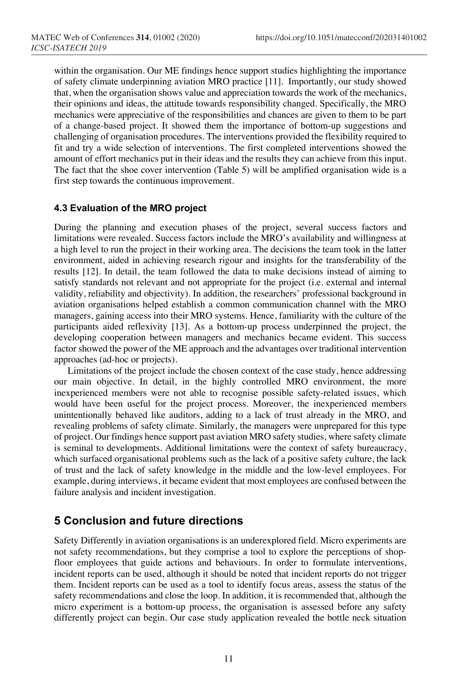within the organisation. Our ME findings hence support studies highlighting the importance of safety climate underpinning aviation MRO practice [11]. Importantly, our study showed that, when the organisation shows value and appreciation towards the work of the mechanics, their opinions and ideas, the attitude towards responsibility changed. Specifically, the MRO mechanics were appreciative of the responsibilities and chances are given to them to be part of a change-based project. It showed them the importance of bottom-up suggestions and challenging of organisation procedures. The interventions provided the flexibility required to fit and try a wide selection of interventions. The first completed interventions showed the amount of effort mechanics put in their ideas and the results they can achieve from this input. The fact that the shoe cover intervention (Table 5) will be amplified organisation wide is a first step towards the continuous improvement.

#### **4.3 Evaluation of the MRO project**

During the planning and execution phases of the project, several success factors and limitations were revealed. Success factors include the MRO's availability and willingness at a high level to run the project in their working area. The decisions the team took in the latter environment, aided in achieving research rigour and insights for the transferability of the results [12]. In detail, the team followed the data to make decisions instead of aiming to satisfy standards not relevant and not appropriate for the project (i.e. external and internal validity, reliability and objectivity). In addition, the researchers' professional background in aviation organisations helped establish a common communication channel with the MRO managers, gaining access into their MRO systems. Hence, familiarity with the culture of the participants aided reflexivity [13]. As a bottom-up process underpinned the project, the developing cooperation between managers and mechanics became evident. This success factor showed the power of the ME approach and the advantages over traditional intervention approaches (ad-hoc or projects).

Limitations of the project include the chosen context of the case study, hence addressing our main objective. In detail, in the highly controlled MRO environment, the more inexperienced members were not able to recognise possible safety-related issues, which would have been useful for the project process. Moreover, the inexperienced members unintentionally behaved like auditors, adding to a lack of trust already in the MRO, and revealing problems of safety climate. Similarly, the managers were unprepared for this type of project. Our findings hence support past aviation MRO safety studies, where safety climate is seminal to developments. Additional limitations were the context of safety bureaucracy, which surfaced organisational problems such as the lack of a positive safety culture, the lack of trust and the lack of safety knowledge in the middle and the low-level employees. For example, during interviews, it became evident that most employees are confused between the failure analysis and incident investigation.

# **5 Conclusion and future directions**

Safety Differently in aviation organisations is an underexplored field. Micro experiments are not safety recommendations, but they comprise a tool to explore the perceptions of shopfloor employees that guide actions and behaviours. In order to formulate interventions, incident reports can be used, although it should be noted that incident reports do not trigger them. Incident reports can be used as a tool to identify focus areas, assess the status of the safety recommendations and close the loop. In addition, it is recommended that, although the micro experiment is a bottom-up process, the organisation is assessed before any safety differently project can begin. Our case study application revealed the bottle neck situation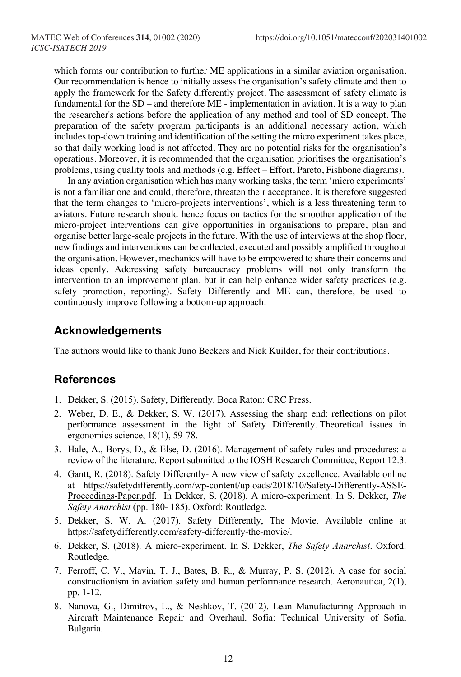which forms our contribution to further ME applications in a similar aviation organisation. Our recommendation is hence to initially assess the organisation's safety climate and then to apply the framework for the Safety differently project. The assessment of safety climate is fundamental for the SD – and therefore ME - implementation in aviation. It is a way to plan the researcher's actions before the application of any method and tool of SD concept. The preparation of the safety program participants is an additional necessary action, which includes top-down training and identification of the setting the micro experiment takes place, so that daily working load is not affected. They are no potential risks for the organisation's operations. Moreover, it is recommended that the organisation prioritises the organisation's problems, using quality tools and methods (e.g. Effect – Effort, Pareto, Fishbone diagrams).

In any aviation organisation which has many working tasks, the term 'micro experiments' is not a familiar one and could, therefore, threaten their acceptance. It is therefore suggested that the term changes to 'micro-projects interventions', which is a less threatening term to aviators. Future research should hence focus on tactics for the smoother application of the micro-project interventions can give opportunities in organisations to prepare, plan and organise better large-scale projects in the future. With the use of interviews at the shop floor, new findings and interventions can be collected, executed and possibly amplified throughout the organisation. However, mechanics will have to be empowered to share their concerns and ideas openly. Addressing safety bureaucracy problems will not only transform the intervention to an improvement plan, but it can help enhance wider safety practices (e.g. safety promotion, reporting). Safety Differently and ME can, therefore, be used to continuously improve following a bottom-up approach.

### **Acknowledgements**

The authors would like to thank Juno Beckers and Niek Kuilder, for their contributions.

### **References**

- 1. Dekker, S. (2015). Safety, Differently. Boca Raton: CRC Press.
- 2. Weber, D. E., & Dekker, S. W. (2017). Assessing the sharp end: reflections on pilot performance assessment in the light of Safety Differently. Theoretical issues in ergonomics science, 18(1), 59-78.
- 3. Hale, A., Borys, D., & Else, D. (2016). Management of safety rules and procedures: a review of the literature. Report submitted to the IOSH Research Committee, Report 12.3.
- 4. Gantt, R. (2018). Safety Differently- A new view of safety excellence. Available online at https://safetydifferently.com/wp-content/uploads/2018/10/Safety-Differently-ASSE-Proceedings-Paper.pdf. In Dekker, S. (2018). A micro-experiment. In S. Dekker, *The Safety Anarchist* (pp. 180- 185). Oxford: Routledge.
- 5. Dekker, S. W. A. (2017). Safety Differently, The Movie. Available online at https://safetydifferently.com/safety-differently-the-movie/.
- 6. Dekker, S. (2018). A micro-experiment. In S. Dekker, *The Safety Anarchist*. Oxford: Routledge.
- 7. Ferroff, C. V., Mavin, T. J., Bates, B. R., & Murray, P. S. (2012). A case for social constructionism in aviation safety and human performance research. Aeronautica, 2(1), pp. 1-12.
- 8. Nanova, G., Dimitrov, L., & Neshkov, T. (2012). Lean Manufacturing Approach in Aircraft Maintenance Repair and Overhaul. Sofia: Technical University of Sofia, Bulgaria.